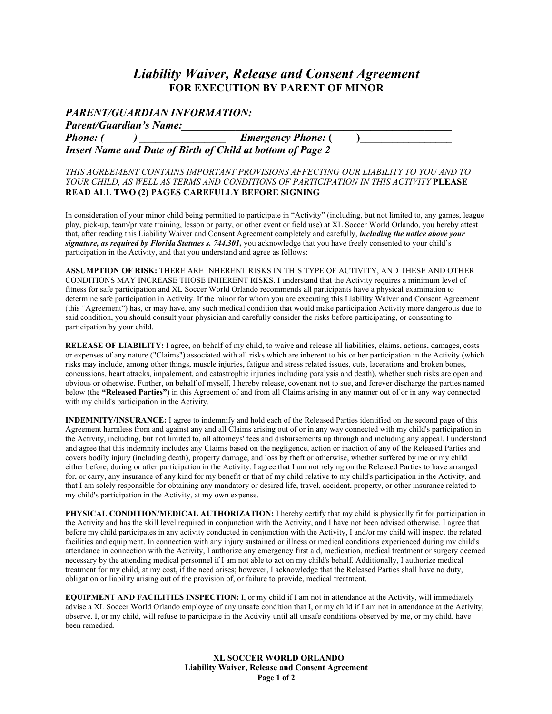# *Liability Waiver, Release and Consent Agreement* **FOR EXECUTION BY PARENT OF MINOR**

### *PARENT/GUARDIAN INFORMATION:*

| <b>Parent/Guardian's Name:</b>                                    |                           |  |
|-------------------------------------------------------------------|---------------------------|--|
| <i>Phone: (</i>                                                   | <b>Emergency Phone:</b> ( |  |
| <b>Insert Name and Date of Birth of Child at bottom of Page 2</b> |                           |  |

#### *THIS AGREEMENT CONTAINS IMPORTANT PROVISIONS AFFECTING OUR LIABILITY TO YOU AND TO YOUR CHILD, AS WELL AS TERMS AND CONDITIONS OF PARTICIPATION IN THIS ACTIVITY* **PLEASE READ ALL TWO (2) PAGES CAREFULLY BEFORE SIGNING**

In consideration of your minor child being permitted to participate in "Activity" (including, but not limited to, any games, league play, pick-up, team/private training, lesson or party, or other event or field use) at XL Soccer World Orlando, you hereby attest that, after reading this Liability Waiver and Consent Agreement completely and carefully, *including the notice above your signature, as required by Florida Statutes s. 744.301,* you acknowledge that you have freely consented to your child's participation in the Activity, and that you understand and agree as follows:

**ASSUMPTION OF RISK:** THERE ARE INHERENT RISKS IN THIS TYPE OF ACTIVITY, AND THESE AND OTHER CONDITIONS MAY INCREASE THOSE INHERENT RISKS. I understand that the Activity requires a minimum level of fitness for safe participation and XL Soccer World Orlando recommends all participants have a physical examination to determine safe participation in Activity. If the minor for whom you are executing this Liability Waiver and Consent Agreement (this "Agreement") has, or may have, any such medical condition that would make participation Activity more dangerous due to said condition, you should consult your physician and carefully consider the risks before participating, or consenting to participation by your child.

**RELEASE OF LIABILITY:** I agree, on behalf of my child, to waive and release all liabilities, claims, actions, damages, costs or expenses of any nature ("Claims") associated with all risks which are inherent to his or her participation in the Activity (which risks may include, among other things, muscle injuries, fatigue and stress related issues, cuts, lacerations and broken bones, concussions, heart attacks, impalement, and catastrophic injuries including paralysis and death), whether such risks are open and obvious or otherwise. Further, on behalf of myself, I hereby release, covenant not to sue, and forever discharge the parties named below (the **"Released Parties"**) in this Agreement of and from all Claims arising in any manner out of or in any way connected with my child's participation in the Activity.

**INDEMNITY/INSURANCE:** I agree to indemnify and hold each of the Released Parties identified on the second page of this Agreement harmless from and against any and all Claims arising out of or in any way connected with my child's participation in the Activity, including, but not limited to, all attorneys' fees and disbursements up through and including any appeal. I understand and agree that this indemnity includes any Claims based on the negligence, action or inaction of any of the Released Parties and covers bodily injury (including death), property damage, and loss by theft or otherwise, whether suffered by me or my child either before, during or after participation in the Activity. I agree that I am not relying on the Released Parties to have arranged for, or carry, any insurance of any kind for my benefit or that of my child relative to my child's participation in the Activity, and that I am solely responsible for obtaining any mandatory or desired life, travel, accident, property, or other insurance related to my child's participation in the Activity, at my own expense.

**PHYSICAL CONDITION/MEDICAL AUTHORIZATION:** I hereby certify that my child is physically fit for participation in the Activity and has the skill level required in conjunction with the Activity, and I have not been advised otherwise. I agree that before my child participates in any activity conducted in conjunction with the Activity, I and/or my child will inspect the related facilities and equipment. In connection with any injury sustained or illness or medical conditions experienced during my child's attendance in connection with the Activity, I authorize any emergency first aid, medication, medical treatment or surgery deemed necessary by the attending medical personnel if I am not able to act on my child's behalf. Additionally, I authorize medical treatment for my child, at my cost, if the need arises; however, I acknowledge that the Released Parties shall have no duty, obligation or liability arising out of the provision of, or failure to provide, medical treatment.

**EQUIPMENT AND FACILITIES INSPECTION:** I, or my child if I am not in attendance at the Activity, will immediately advise a XL Soccer World Orlando employee of any unsafe condition that I, or my child if I am not in attendance at the Activity, observe. I, or my child, will refuse to participate in the Activity until all unsafe conditions observed by me, or my child, have been remedied.

> **XL SOCCER WORLD ORLANDO Liability Waiver, Release and Consent Agreement Page 1 of 2**